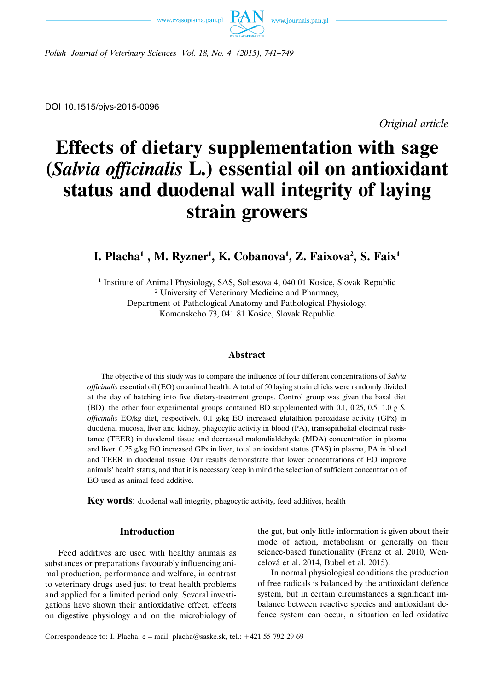



*Polish Journal of Veterinary Sciences Vol. 18, No. 4 (2015), 741–749*

DOI 10.1515/pjvs-2015-0096

*Original article*

# **Effects of dietary supplementation with sage (***Salvia officinalis* **L.) essential oil on antioxidant status and duodenal wall integrity of laying strain growers**

## **I. Placha1 , M. Ryzner1 , K. Cobanova1 , Z. Faixova2 , S. Faix1**

<sup>1</sup> Institute of Animal Physiology, SAS, Soltesova 4, 040 01 Kosice, Slovak Republic <sup>2</sup> University of Veterinary Medicine and Pharmacy, Department of Pathological Anatomy and Pathological Physiology, Komenskeho 73, 041 81 Kosice, Slovak Republic

## **Abstract**

The objective of this study was to compare the influence of four different concentrations of *Salvia officinalis* essential oil (EO) on animal health. A total of 50 laying strain chicks were randomly divided at the day of hatching into five dietary-treatment groups. Control group was given the basal diet (BD), the other four experimental groups contained BD supplemented with 0.1, 0.25, 0.5, 1.0 g *S. officinalis* EO/kg diet, respectively. 0.1 g/kg EO increased glutathion peroxidase activity (GPx) in duodenal mucosa, liver and kidney, phagocytic activity in blood (PA), transepithelial electrical resistance (TEER) in duodenal tissue and decreased malondialdehyde (MDA) concentration in plasma and liver. 0.25 g/kg EO increased GPx in liver, total antioxidant status (TAS) in plasma, PA in blood and TEER in duodenal tissue. Our results demonstrate that lower concentrations of EO improve animals' health status, and that it is necessary keep in mind the selection of sufficient concentration of EO used as animal feed additive.

**Key words**: duodenal wall integrity, phagocytic activity, feed additives, health

## **Introduction**

Feed additives are used with healthy animals as substances or preparations favourably influencing animal production, performance and welfare, in contrast to veterinary drugs used just to treat health problems and applied for a limited period only. Several investigations have shown their antioxidative effect, effects on digestive physiology and on the microbiology of the gut, but only little information is given about their mode of action, metabolism or generally on their science-based functionality (Franz et al. 2010, Wencelova´ et al. 2014, Bubel et al. 2015).

In normal physiological conditions the production of free radicals is balanced by the antioxidant defence system, but in certain circumstances a significant imbalance between reactive species and antioxidant defence system can occur, a situation called oxidative

Correspondence to: I. Placha, e – mail: placha@saske.sk, tel.: +421 55 792 29 69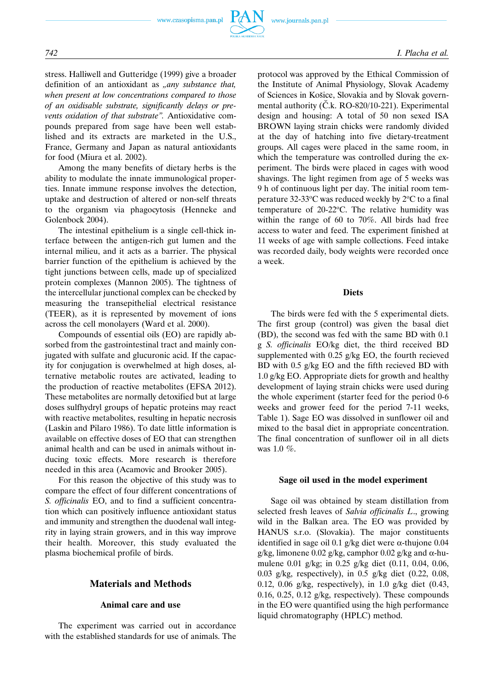

stress. Halliwell and Gutteridge (1999) give a broader definition of an antioxidant as *"any substance that, when present at low concentrations compared to those of an oxidisable substrate, significantly delays or prevents oxidation of that substrate".* Antioxidative compounds prepared from sage have been well established and its extracts are marketed in the U.S., France, Germany and Japan as natural antioxidants for food (Miura et al. 2002).

Among the many benefits of dietary herbs is the ability to modulate the innate immunological properties. Innate immune response involves the detection, uptake and destruction of altered or non-self threats to the organism via phagocytosis (Henneke and Golenbock 2004).

The intestinal epithelium is a single cell-thick interface between the antigen-rich gut lumen and the internal milieu, and it acts as a barrier. The physical barrier function of the epithelium is achieved by the tight junctions between cells, made up of specialized protein complexes (Mannon 2005). The tightness of the intercellular junctional complex can be checked by measuring the transepithelial electrical resistance (TEER), as it is represented by movement of ions across the cell monolayers (Ward et al. 2000).

Compounds of essential oils (EO) are rapidly absorbed from the gastrointestinal tract and mainly conjugated with sulfate and glucuronic acid. If the capacity for conjugation is overwhelmed at high doses, alternative metabolic routes are activated, leading to the production of reactive metabolites (EFSA 2012). These metabolites are normally detoxified but at large doses sulfhydryl groups of hepatic proteins may react with reactive metabolites, resulting in hepatic necrosis (Laskin and Pilaro 1986). To date little information is available on effective doses of EO that can strengthen animal health and can be used in animals without inducing toxic effects. More research is therefore needed in this area (Acamovic and Brooker 2005).

For this reason the objective of this study was to compare the effect of four different concentrations of *S. officinalis* EO, and to find a sufficient concentration which can positively influence antioxidant status and immunity and strengthen the duodenal wall integrity in laying strain growers, and in this way improve their health. Moreover, this study evaluated the plasma biochemical profile of birds.

#### **Materials and Methods**

#### **Animal care and use**

The experiment was carried out in accordance with the established standards for use of animals. The protocol was approved by the Ethical Commission of the Institute of Animal Physiology, Slovak Academy of Sciences in Košice, Slovakia and by Slovak governmental authority ( $\check{C}$ .k. RO-820/10-221). Experimental design and housing: A total of 50 non sexed ISA BROWN laying strain chicks were randomly divided at the day of hatching into five dietary-treatment groups. All cages were placed in the same room, in which the temperature was controlled during the experiment. The birds were placed in cages with wood shavings. The light regimen from age of 5 weeks was 9 h of continuous light per day. The initial room temperature 32-33°C was reduced weekly by 2°C to a final temperature of  $20-22$ °C. The relative humidity was within the range of 60 to 70%. All birds had free access to water and feed. The experiment finished at 11 weeks of age with sample collections. Feed intake was recorded daily, body weights were recorded once a week.

## **Diets**

The birds were fed with the 5 experimental diets. The first group (control) was given the basal diet (BD), the second was fed with the same BD with 0.1 g *S. officinalis* EO/kg diet, the third received BD supplemented with 0.25 g/kg EO, the fourth recieved BD with 0.5 g/kg EO and the fifth recieved BD with 1.0 g/kg EO. Appropriate diets for growth and healthy development of laying strain chicks were used during the whole experiment (starter feed for the period 0-6 weeks and grower feed for the period 7-11 weeks, Table 1). Sage EO was dissolved in sunflower oil and mixed to the basal diet in appropriate concentration. The final concentration of sunflower oil in all diets was 1.0 %.

#### **Sage oil used in the model experiment**

Sage oil was obtained by steam distillation from selected fresh leaves of *Salvia officinalis L*., growing wild in the Balkan area. The EO was provided by HANUS s.r.o. (Slovakia). The major constituents identified in sage oil 0.1 g/kg diet were  $\alpha$ -thujone 0.04 g/kg, limonene 0.02 g/kg, camphor 0.02 g/kg and  $\alpha$ -humulene 0.01 g/kg; in 0.25 g/kg diet (0.11, 0.04, 0.06, 0.03 g/kg, respectively), in 0.5 g/kg diet (0.22, 0.08, 0.12, 0.06 g/kg, respectively), in 1.0 g/kg diet (0.43, 0.16, 0.25, 0.12 g/kg, respectively). These compounds in the EO were quantified using the high performance liquid chromatography (HPLC) method.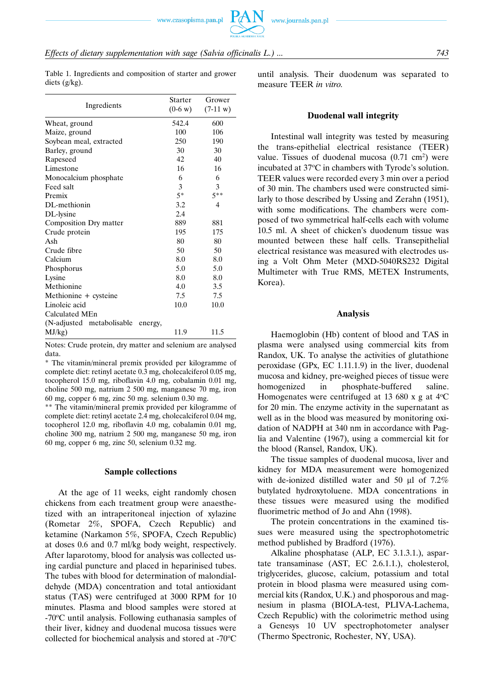

*Effects of dietary supplementation with sage (Salvia officinalis L.) ... 743*

Table 1. Ingredients and composition of starter and grower diets (g/kg).

| Ingredients                | <b>Starter</b><br>$(0-6 \text{ w})$ | Grower<br>$(7-11 w)$ |  |
|----------------------------|-------------------------------------|----------------------|--|
| Wheat, ground              | 542.4                               | 600                  |  |
| Maize, ground              | 100                                 | 106                  |  |
| Soybean meal, extracted    | 250                                 | 190                  |  |
| Barley, ground             | 30                                  | 30                   |  |
| Rapeseed                   | 42                                  | 40                   |  |
| Limestone                  | 16                                  | 16                   |  |
| Monocalcium phosphate      | 6                                   | 6                    |  |
| Feed salt                  | 3                                   | 3                    |  |
| Premix                     | $5*$                                | $5***$               |  |
| DL-methionin               | 3.2                                 | 4                    |  |
| DL-lysine                  | 2.4                                 |                      |  |
| Composition Dry matter     | 889                                 | 881                  |  |
| Crude protein              | 195                                 | 175                  |  |
| Ash                        | 80                                  | 80                   |  |
| Crude fibre                | 50                                  | 50                   |  |
| Calcium                    | 8.0                                 | 8.0                  |  |
| Phosphorus                 | 5.0                                 | 5.0                  |  |
| Lysine                     | 8.0                                 | 8.0                  |  |
| Methionine                 | 4.0                                 | 3.5                  |  |
| Methionine + cysteine      | 7.5                                 | 7.5                  |  |
| Linoleic acid              | 10.0                                | 10.0                 |  |
| Calculated MEn             |                                     |                      |  |
| (N-adjusted metabolisable) | energy,                             |                      |  |
| MJ/kg)                     | 11.9                                | 11.5                 |  |

Notes: Crude protein, dry matter and selenium are analysed data.

\* The vitamin/mineral premix provided per kilogramme of complete diet: retinyl acetate 0.3 mg, cholecalciferol 0.05 mg, tocopherol 15.0 mg, riboflavin 4.0 mg, cobalamin 0.01 mg, choline 500 mg, natrium 2 500 mg, manganese 70 mg, iron 60 mg, copper 6 mg, zinc 50 mg. selenium 0.30 mg.

\*\* The vitamin/mineral premix provided per kilogramme of complete diet: retinyl acetate 2.4 mg, cholecalciferol 0.04 mg, tocopherol 12.0 mg, riboflavin 4.0 mg, cobalamin 0.01 mg, choline 300 mg, natrium 2 500 mg, manganese 50 mg, iron 60 mg, copper 6 mg, zinc 50, selenium 0.32 mg.

#### **Sample collections**

At the age of 11 weeks, eight randomly chosen chickens from each treatment group were anaesthetized with an intraperitoneal injection of xylazine (Rometar 2%, SPOFA, Czech Republic) and ketamine (Narkamon 5%, SPOFA, Czech Republic) at doses 0.6 and 0.7 ml/kg body weight, respectively. After laparotomy, blood for analysis was collected using cardial puncture and placed in heparinised tubes. The tubes with blood for determination of malondialdehyde (MDA) concentration and total antioxidant status (TAS) were centrifuged at 3000 RPM for 10 minutes. Plasma and blood samples were stored at -70°C until analysis. Following euthanasia samples of their liver, kidney and duodenal mucosa tissues were collected for biochemical analysis and stored at -70°C

until analysis. Their duodenum was separated to measure TEER *in vitro.*

#### **Duodenal wall integrity**

Intestinal wall integrity was tested by measuring the trans-epithelial electrical resistance (TEER) value. Tissues of duodenal mucosa  $(0.71 \text{ cm}^2)$  were incubated at 37°C in chambers with Tyrode's solution. TEER values were recorded every 3 min over a period of 30 min. The chambers used were constructed similarly to those described by Ussing and Zerahn (1951), with some modifications. The chambers were composed of two symmetrical half-cells each with volume 10.5 ml. A sheet of chicken's duodenum tissue was mounted between these half cells. Transepithelial electrical resistance was measured with electrodes using a Volt Ohm Meter (MXD-5040RS232 Digital Multimeter with True RMS, METEX Instruments, Korea).

#### **Analysis**

Haemoglobin (Hb) content of blood and TAS in plasma were analysed using commercial kits from Randox, UK. To analyse the activities of glutathione peroxidase (GPx, EC 1.11.1.9) in the liver, duodenal mucosa and kidney, pre-weighed pieces of tissue were homogenized in phosphate-buffered saline. Homogenates were centrifuged at 13 680 x g at  $4^{\circ}$ C for 20 min. The enzyme activity in the supernatant as well as in the blood was measured by monitoring oxidation of NADPH at 340 nm in accordance with Paglia and Valentine (1967), using a commercial kit for the blood (Ransel, Randox, UK).

The tissue samples of duodenal mucosa, liver and kidney for MDA measurement were homogenized with de-ionized distilled water and 50 μl of 7.2% butylated hydroxytoluene. MDA concentrations in these tissues were measured using the modified fluorimetric method of Jo and Ahn (1998).

The protein concentrations in the examined tissues were measured using the spectrophotometric method published by Bradford (1976).

Alkaline phosphatase (ALP, EC 3.1.3.1.), aspartate transaminase (AST, EC 2.6.1.1.), cholesterol, triglycerides, glucose, calcium, potassium and total protein in blood plasma were measured using commercial kits (Randox, U.K.) and phosporous and magnesium in plasma (BIOLA-test, PLIVA-Lachema, Czech Republic) with the colorimetric method using a Genesys 10 UV spectrophotometer analyser (Thermo Spectronic, Rochester, NY, USA).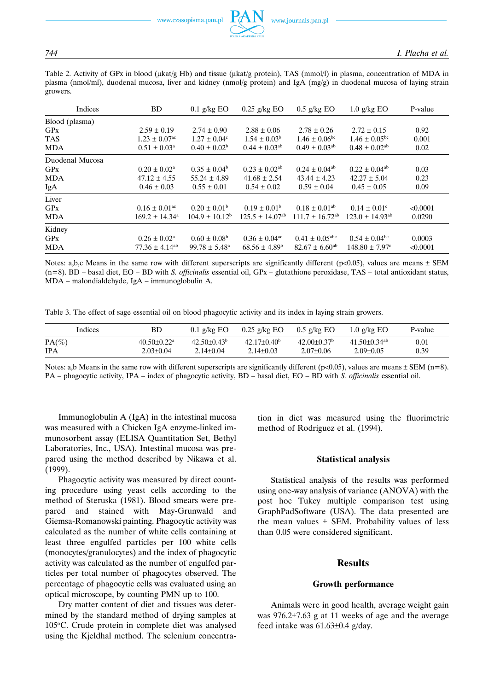Table 2. Activity of GPx in blood (μkat/g Hb) and tissue (μkat/g protein), TAS (mmol/l) in plasma, concentration of MDA in plasma (nmol/ml), duodenal mucosa, liver and kidney (nmol/g protein) and IgA (mg/g) in duodenal mucosa of laying strain growers.

| Indices         | BD                             | $0.1$ g/kg EO            | $0.25$ g/kg EO                  | $0.5$ g/kg EO                   | $1.0$ g/kg EO                   | P-value  |
|-----------------|--------------------------------|--------------------------|---------------------------------|---------------------------------|---------------------------------|----------|
| Blood (plasma)  |                                |                          |                                 |                                 |                                 |          |
| <b>GPx</b>      | $2.59 \pm 0.19$                | $2.74 \pm 0.90$          | $2.88 \pm 0.06$                 | $2.78 \pm 0.26$                 | $2.72 \pm 0.15$                 | 0.92     |
| <b>TAS</b>      | $1.23 \pm 0.07$ <sup>ac</sup>  | $1.27 \pm 0.04^{\circ}$  | $1.54 \pm 0.03^{\rm b}$         | $1.46 \pm 0.06^{\rm bc}$        | $1.46 \pm 0.05^{\rm bc}$        | 0.001    |
| <b>MDA</b>      | $0.51 \pm 0.03^{\text{a}}$     | $0.40 \pm 0.02^b$        | $0.44 \pm 0.03^{ab}$            | $0.49 \pm 0.03^{ab}$            | $0.48 \pm 0.02^{ab}$            | 0.02     |
| Duodenal Mucosa |                                |                          |                                 |                                 |                                 |          |
| <b>GPx</b>      | $0.20 \pm 0.02^{\text{a}}$     | $0.35 \pm 0.04^b$        | $0.23 \pm 0.02^{ab}$            | $0.24 \pm 0.04$ <sup>ab</sup>   | $0.22 \pm 0.04$ <sup>ab</sup>   | 0.03     |
| <b>MDA</b>      | $47.12 \pm 4.55$               | $55.24 \pm 4.89$         | $41.68 \pm 2.54$                | $43.44 \pm 4.23$                | $42.27 \pm 5.04$                | 0.23     |
| IgA             | $0.46 \pm 0.03$                | $0.55 \pm 0.01$          | $0.54 \pm 0.02$                 | $0.59 \pm 0.04$                 | $0.45 \pm 0.05$                 | 0.09     |
| Liver           |                                |                          |                                 |                                 |                                 |          |
| <b>GPx</b>      | $0.16 \pm 0.01$ <sup>ac</sup>  | $0.20 \pm 0.01^{\rm b}$  | $0.19 \pm 0.01^{\rm b}$         | $0.18 \pm 0.01$ <sup>ab</sup>   | $0.14 \pm 0.01$ °               | < 0.0001 |
| <b>MDA</b>      | $169.2 \pm 14.34^a$            | $104.9 \pm 10.12^b$      | $125.5 \pm 14.07$ <sup>ab</sup> | $111.7 \pm 16.72$ <sup>ab</sup> | $123.0 \pm 14.93$ <sup>ab</sup> | 0.0290   |
| Kidney          |                                |                          |                                 |                                 |                                 |          |
| <b>GPx</b>      | $0.26 \pm 0.02^{\text{a}}$     | $0.60 \pm 0.08^{\rm b}$  | $0.36 \pm 0.04$ <sup>ac</sup>   | $0.41 \pm 0.05^{\rm abc}$       | $0.54 \pm 0.04^{\rm bc}$        | 0.0003   |
| <b>MDA</b>      | $77.36 \pm 4.14$ <sup>ab</sup> | $99.78 \pm 5.48^{\circ}$ | $68.56 \pm 4.89^b$              | $82.67 \pm 6.60$ <sup>ab</sup>  | $148.80 \pm 7.97$ <sup>c</sup>  | < 0.0001 |

Notes: a,b,c Means in the same row with different superscripts are significantly different ( $p<0.05$ ), values are means  $\pm$  SEM (n=8). BD – basal diet, EO – BD with *S. officinalis* essential oil, GPx – glutathione peroxidase, TAS – total antioxidant status, MDA – malondialdehyde, IgA – immunoglobulin A.

Table 3. The effect of sage essential oil on blood phagocytic activity and its index in laying strain growers.

| Indices    | BD                            | $0.1$ g/kg EO    | $0.25$ g/kg EO   | $0.5 \text{ g/kg}$ EO  | $1.0 \text{ g/kg}$ EO | P-value    |
|------------|-------------------------------|------------------|------------------|------------------------|-----------------------|------------|
| $PA(\%)$   | $40.50 \pm 0.22$ <sup>a</sup> | $42.50\pm0.43^b$ | $42.17 + 0.40^b$ | $42.00\pm0.37^{\rm b}$ | $41.50\pm0.34^{ab}$   | $\rm 0.01$ |
| <b>IPA</b> | $2.03 \pm 0.04$               | $2.14 \pm 0.04$  | $2.14\pm0.03$    | $2.07 \pm 0.06$        | $2.09\pm0.05$         | 0.39       |

Notes: a,b Means in the same row with different superscripts are significantly different ( $p<0.05$ ), values are means  $\pm$  SEM ( $n=8$ ). PA – phagocytic activity, IPA – index of phagocytic activity, BD – basal diet, EO – BD with *S. officinalis* essential oil.

Immunoglobulin A (IgA) in the intestinal mucosa was measured with a Chicken IgA enzyme-linked immunosorbent assay (ELISA Quantitation Set, Bethyl Laboratories, Inc., USA). Intestinal mucosa was prepared using the method described by Nikawa et al. (1999).

Phagocytic activity was measured by direct counting procedure using yeast cells according to the method of Steruska (1981). Blood smears were prepared and stained with May-Grunwald and Giemsa-Romanowski painting. Phagocytic activity was calculated as the number of white cells containing at least three engulfed particles per 100 white cells (monocytes/granulocytes) and the index of phagocytic activity was calculated as the number of engulfed particles per total number of phagocytes observed. The percentage of phagocytic cells was evaluated using an optical microscope, by counting PMN up to 100.

Dry matter content of diet and tissues was determined by the standard method of drying samples at 105°C. Crude protein in complete diet was analysed using the Kjeldhal method. The selenium concentration in diet was measured using the fluorimetric method of Rodriguez et al. (1994).

#### **Statistical analysis**

Statistical analysis of the results was performed using one-way analysis of variance (ANOVA) with the post hoc Tukey multiple comparison test using GraphPadSoftware (USA). The data presented are the mean values  $\pm$  SEM. Probability values of less than 0.05 were considered significant.

#### **Results**

#### **Growth performance**

Animals were in good health, average weight gain was 976.2±7.63 g at 11 weeks of age and the average feed intake was 61.63±0.4 g/day.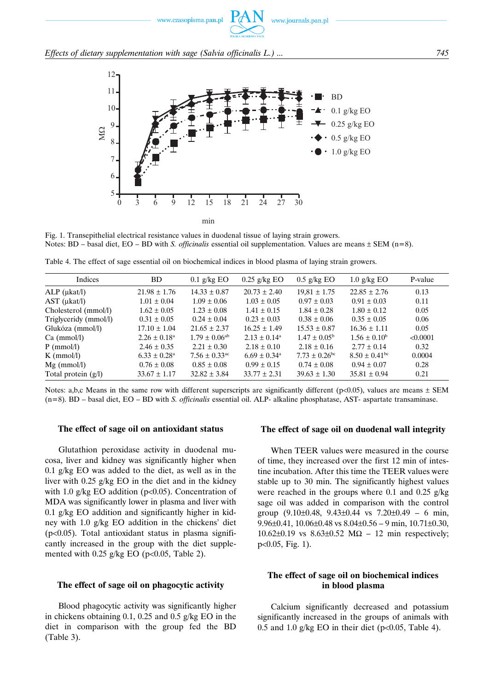

Fig. 1. Transepithelial electrical resistance values in duodenal tissue of laying strain growers. Notes: BD – basal diet, EO – BD with *S. officinalis* essential oil supplementation. Values are means ± SEM (n=8).

Table 4. The effect of sage essential oil on biochemical indices in blood plasma of laying strain growers.

| Indices               | <b>BD</b>                  | $0.1$ g/kg EO                 | $0.25$ g/kg EO               | $0.5$ g/kg EO                 | 1.0 $g/kg$ EO                 | P-value  |
|-----------------------|----------------------------|-------------------------------|------------------------------|-------------------------------|-------------------------------|----------|
| $ALP$ ( $\mu$ kat/l)  | $21.98 \pm 1.76$           | $14.33 \pm 0.87$              | $20.73 \pm 2.40$             | $19.81 \pm 1.75$              | $22.85 \pm 2.76$              | 0.13     |
| AST (ukat/l)          | $1.01 \pm 0.04$            | $1.09 \pm 0.06$               | $1.03 \pm 0.05$              | $0.97 \pm 0.03$               | $0.91 \pm 0.03$               | 0.11     |
| Cholesterol (mmol/l)  | $1.62 \pm 0.05$            | $1.23 \pm 0.08$               | $1.41 \pm 0.15$              | $1.84 \pm 0.28$               | $1.80 \pm 0.12$               | 0.05     |
| Triglyceridy (mmol/l) | $0.31 \pm 0.05$            | $0.24 \pm 0.04$               | $0.23 \pm 0.03$              | $0.38 \pm 0.06$               | $0.35 \pm 0.05$               | 0.06     |
| Glukóza (mmol/l)      | $17.10 \pm 1.04$           | $21.65 \pm 2.37$              | $16.25 \pm 1.49$             | $15.53 \pm 0.87$              | $16.36 \pm 1.11$              | 0.05     |
| Ca (mmol/l)           | $2.26 \pm 0.18^{\text{a}}$ | $1.79 \pm 0.06$ <sup>ab</sup> | $2.13 \pm 0.14^{\text{a}}$   | $1.47 \pm 0.05^{\rm b}$       | $1.56 \pm 0.10^b$             | < 0.0001 |
| $P$ (mmol/l)          | $2.46 \pm 0.35$            | $2.21 \pm 0.30$               | $2.18 \pm 0.10$              | $2.18 \pm 0.16$               | $2.77 \pm 0.14$               | 0.32     |
| $K \text{ (mmol/l)}$  | $6.33 \pm 0.28^{\rm a}$    | $7.56 \pm 0.33$ <sup>ac</sup> | $6.69 \pm 0.34$ <sup>a</sup> | $7.73 \pm 0.26$ <sup>bc</sup> | $8.50 \pm 0.41$ <sup>bc</sup> | 0.0004   |
| $Mg$ (mmol/l)         | $0.76 \pm 0.08$            | $0.85 \pm 0.08$               | $0.99 \pm 0.15$              | $0.74 \pm 0.08$               | $0.94 \pm 0.07$               | 0.28     |
| Total protein $(g/l)$ | $33.67 \pm 1.17$           | $32.82 \pm 3.84$              | $33.77 \pm 2.31$             | $39.63 \pm 1.30$              | $35.81 \pm 0.94$              | 0.21     |

Notes: a,b,c Means in the same row with different superscripts are significantly different ( $p<0.05$ ), values are means  $\pm$  SEM (n=8). BD – basal diet, EO – BD with *S. officinalis* essential oil. ALP- alkaline phosphatase, AST- aspartate transaminase.

#### **The effect of sage oil on antioxidant status**

Glutathion peroxidase activity in duodenal mucosa, liver and kidney was significantly higher when 0.1 g/kg EO was added to the diet, as well as in the liver with 0.25 g/kg EO in the diet and in the kidney with 1.0 g/kg EO addition ( $p<0.05$ ). Concentration of MDA was significantly lower in plasma and liver with  $0.1$  g/kg EO addition and significantly higher in kidney with 1.0 g/kg EO addition in the chickens' diet (p<0.05). Total antioxidant status in plasma significantly increased in the group with the diet supplemented with  $0.25$  g/kg EO (p<0.05, Table 2).

#### **The effect of sage oil on phagocytic activity**

Blood phagocytic activity was significantly higher in chickens obtaining 0.1, 0.25 and 0.5 g/kg EO in the diet in comparison with the group fed the BD (Table 3).

#### **The effect of sage oil on duodenal wall integrity**

When TEER values were measured in the course of time, they increased over the first 12 min of intestine incubation. After this time the TEER values were stable up to 30 min. The significantly highest values were reached in the groups where 0.1 and 0.25 g/kg sage oil was added in comparison with the control group  $(9.10\pm0.48, 9.43\pm0.44$  vs  $7.20\pm0.49$  – 6 min, 9.96 $\pm$ 0.41, 10.06 $\pm$ 0.48 vs 8.04 $\pm$ 0.56 – 9 min, 10.71 $\pm$ 0.30, 10.62±0.19 vs  $8.63\pm0.52$  MΩ – 12 min respectively; p<0.05, Fig. 1).

## **The effect of sage oil on biochemical indices in blood plasma**

Calcium significantly decreased and potassium significantly increased in the groups of animals with 0.5 and 1.0 g/kg EO in their diet ( $p<0.05$ , Table 4).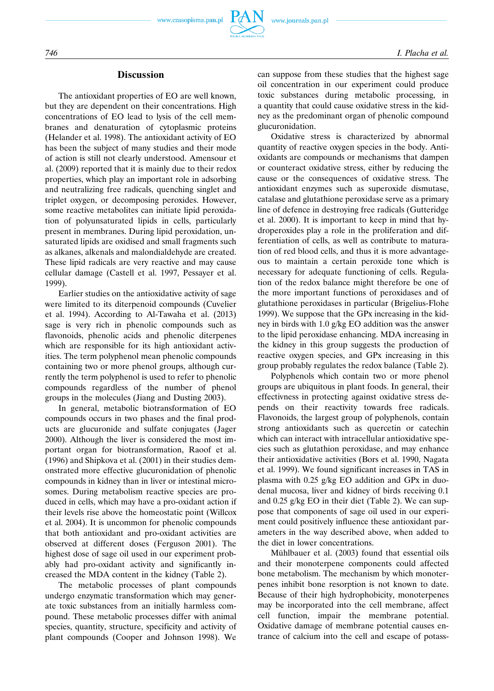## **Discussion**

The antioxidant properties of EO are well known, but they are dependent on their concentrations. High concentrations of EO lead to lysis of the cell membranes and denaturation of cytoplasmic proteins (Helander et al. 1998). The antioxidant activity of EO has been the subject of many studies and their mode of action is still not clearly understood. Amensour et al. (2009) reported that it is mainly due to their redox properties, which play an important role in adsorbing and neutralizing free radicals, quenching singlet and triplet oxygen, or decomposing peroxides. However, some reactive metabolites can initiate lipid peroxidation of polyunsaturated lipids in cells, particularly present in membranes. During lipid peroxidation, unsaturated lipids are oxidised and small fragments such as alkanes, alkenals and malondialdehyde are created. These lipid radicals are very reactive and may cause cellular damage (Castell et al. 1997, Pessayer et al. 1999).

Earlier studies on the antioxidative activity of sage were limited to its diterpenoid compounds (Cuvelier et al. 1994). According to Al-Tawaha et al. (2013) sage is very rich in phenolic compounds such as flavonoids, phenolic acids and phenolic diterpenes which are responsible for its high antioxidant activities. The term polyphenol mean phenolic compounds containing two or more phenol groups, although currently the term polyphenol is used to refer to phenolic compounds regardless of the number of phenol groups in the molecules (Jiang and Dusting 2003).

In general, metabolic biotransformation of EO compounds occurs in two phases and the final products are glucuronide and sulfate conjugates (Jager 2000). Although the liver is considered the most important organ for biotransformation, Raoof et al. (1996) and Shipkova et al. (2001) in their studies demonstrated more effective glucuronidation of phenolic compounds in kidney than in liver or intestinal microsomes. During metabolism reactive species are produced in cells, which may have a pro-oxidant action if their levels rise above the homeostatic point (Willcox et al. 2004). It is uncommon for phenolic compounds that both antioxidant and pro-oxidant activities are observed at different doses (Ferguson 2001). The highest dose of sage oil used in our experiment probably had pro-oxidant activity and significantly increased the MDA content in the kidney (Table 2).

The metabolic processes of plant compounds undergo enzymatic transformation which may generate toxic substances from an initially harmless compound. These metabolic processes differ with animal species, quantity, structure, specificity and activity of plant compounds (Cooper and Johnson 1998). We can suppose from these studies that the highest sage oil concentration in our experiment could produce toxic substances during metabolic processing, in a quantity that could cause oxidative stress in the kidney as the predominant organ of phenolic compound glucuronidation.

Oxidative stress is characterized by abnormal quantity of reactive oxygen species in the body. Antioxidants are compounds or mechanisms that dampen or counteract oxidative stress, either by reducing the cause or the consequences of oxidative stress. The antioxidant enzymes such as superoxide dismutase, catalase and glutathione peroxidase serve as a primary line of defence in destroying free radicals (Gutteridge et al. 2000). It is important to keep in mind that hydroperoxides play a role in the proliferation and differentiation of cells, as well as contribute to maturation of red blood cells, and thus it is more advantageous to maintain a certain peroxide tone which is necessary for adequate functioning of cells. Regulation of the redox balance might therefore be one of the more important functions of peroxidases and of glutathione peroxidases in particular (Brigelius-Flohe 1999). We suppose that the GPx increasing in the kidney in birds with 1.0 g/kg EO addition was the answer to the lipid peroxidase enhancing. MDA increasing in the kidney in this group suggests the production of reactive oxygen species, and GPx increasing in this group probably regulates the redox balance (Table 2).

Polyphenols which contain two or more phenol groups are ubiquitous in plant foods. In general, their effectivness in protecting against oxidative stress depends on their reactivity towards free radicals. Flavonoids, the largest group of polyphenols, contain strong antioxidants such as quercetin or catechin which can interact with intracellular antioxidative species such as glutathion peroxidase, and may enhance their antioxidative activities (Bors et al. 1990, Nagata et al. 1999). We found significant increases in TAS in plasma with 0.25 g/kg EO addition and GPx in duodenal mucosa, liver and kidney of birds receiving 0.1 and 0.25 g/kg EO in their diet (Table 2). We can suppose that components of sage oil used in our experiment could positively influence these antioxidant parameters in the way described above, when added to the diet in lower concentrations.

Mühlbauer et al. (2003) found that essential oils and their monoterpene components could affected bone metabolism. The mechanism by which monoterpenes inhibit bone resorption is not known to date. Because of their high hydrophobicity, monoterpenes may be incorporated into the cell membrane, affect cell function, impair the membrane potential. Oxidative damage of membrane potential causes entrance of calcium into the cell and escape of potass-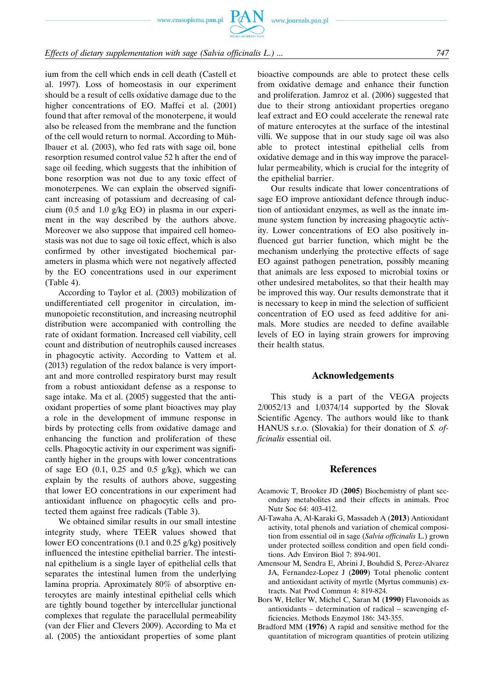

*Effects of dietary supplementation with sage (Salvia officinalis L.) ... 747*

ium from the cell which ends in cell death (Castell et al. 1997). Loss of homeostasis in our experiment should be a result of cells oxidative damage due to the higher concentrations of EO. Maffei et al. (2001) found that after removal of the monoterpene, it would also be released from the membrane and the function of the cell would return to normal. According to Mühlbauer et al. (2003), who fed rats with sage oil, bone resorption resumed control value 52 h after the end of sage oil feeding, which suggests that the inhibition of bone resorption was not due to any toxic effect of monoterpenes. We can explain the observed significant increasing of potassium and decreasing of calcium (0.5 and 1.0 g/kg EO) in plasma in our experiment in the way described by the authors above. Moreover we also suppose that impaired cell homeostasis was not due to sage oil toxic effect, which is also confirmed by other investigated biochemical parameters in plasma which were not negatively affected by the EO concentrations used in our experiment (Table 4).

According to Taylor et al. (2003) mobilization of undifferentiated cell progenitor in circulation, immunopoietic reconstitution, and increasing neutrophil distribution were accompanied with controlling the rate of oxidant formation. Increased cell viability, cell count and distribution of neutrophils caused increases in phagocytic activity. According to Vattem et al. (2013) regulation of the redox balance is very important and more controlled respiratory burst may result from a robust antioxidant defense as a response to sage intake. Ma et al. (2005) suggested that the antioxidant properties of some plant bioactives may play a role in the development of immune response in birds by protecting cells from oxidative damage and enhancing the function and proliferation of these cells. Phagocytic activity in our experiment was significantly higher in the groups with lower concentrations of sage EO  $(0.1, 0.25 \text{ and } 0.5 \text{ g/kg})$ , which we can explain by the results of authors above, suggesting that lower EO concentrations in our experiment had antioxidant influence on phagocytic cells and protected them against free radicals (Table 3).

We obtained similar results in our small intestine integrity study, where TEER values showed that lower EO concentrations (0.1 and 0.25 g/kg) positively influenced the intestine epithelial barrier. The intestinal epithelium is a single layer of epithelial cells that separates the intestinal lumen from the underlying lamina propria. Aproximately 80% of absorptive enterocytes are mainly intestinal epithelial cells which are tightly bound together by intercellular junctional complexes that regulate the paracellulal permeability (van der Flier and Clevers 2009). According to Ma et al. (2005) the antioxidant properties of some plant bioactive compounds are able to protect these cells from oxidative demage and enhance their function and proliferation. Jamroz et al. (2006) suggested that due to their strong antioxidant properties oregano leaf extract and EO could accelerate the renewal rate of mature enterocytes at the surface of the intestinal villi. We suppose that in our study sage oil was also able to protect intestinal epithelial cells from oxidative demage and in this way improve the paracellular permeability, which is crucial for the integrity of the epithelial barrier.

Our results indicate that lower concentrations of sage EO improve antioxidant defence through induction of antioxidant enzymes, as well as the innate immune system function by increasing phagocytic activity. Lower concentrations of EO also positively influenced gut barrier function, which might be the mechanism underlying the protective effects of sage EO against pathogen penetration, possibly meaning that animals are less exposed to microbial toxins or other undesired metabolites, so that their health may be improved this way. Our results demonstrate that it is necessary to keep in mind the selection of sufficient concentration of EO used as feed additive for animals. More studies are needed to define available levels of EO in laying strain growers for improving their health status.

#### **Acknowledgements**

This study is a part of the VEGA projects 2/0052/13 and 1/0374/14 supported by the Slovak Scientific Agency. The authors would like to thank HANUS s.r.o. (Slovakia) for their donation of *S. officinalis* essential oil.

## **References**

- Acamovic T, Brooker JD (**2005**) Biochemistry of plant secondary metabolites and their effects in animals. Proc Nutr Soc 64: 403-412.
- Al-Tawaha A, Al-Karaki G, Massadeh A (**2013**) Antioxidant activity, total phenols and variation of chemical composition from essential oil in sage (*Salvia officinalis* L.) grown under protected soilless condition and open field conditions. Adv Environ Biol 7: 894-901.
- Amensour M, Sendra E, Abrini J, Bouhdid S, Perez-Alvarez JA, Fernandez-Lopez J (**2009**) Total phenolic content and antioxidant activity of myrtle (Myrtus communis) extracts. Nat Prod Commun 4: 819-824.
- Bors W, Heller W, Michel C, Saran M (**1990**) Flavonoids as antioxidants – determination of radical – scavenging efficiencies. Methods Enzymol 186: 343-355.
- Bradford MM (**1976**) A rapid and sensitive method for the quantitation of microgram quantities of protein utilizing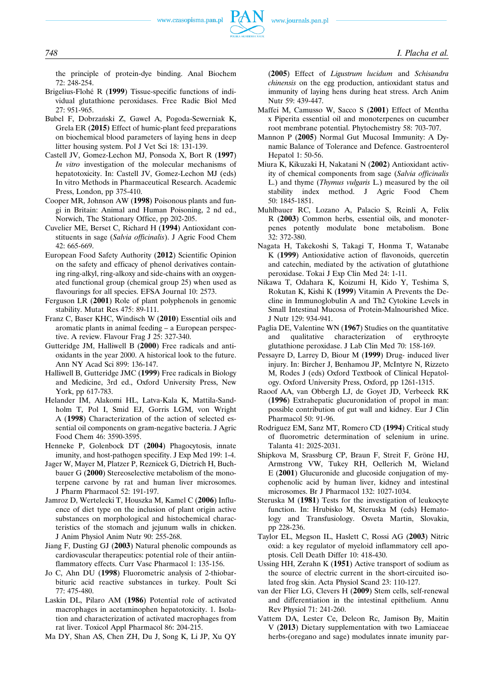

the principle of protein-dye binding. Anal Biochem 72: 248-254.

- Brigelius-Flohé R (1999) Tissue-specific functions of individual glutathione peroxidases. Free Radic Biol Med 27: 951-965.
- Bubel F, Dobrzański Z, Gaweł A, Pogoda-Sewerniak K, Grela ER (**2015)** Effect of humic-plant feed preparations on biochemical blood parameters of laying hens in deep litter housing system. Pol J Vet Sci 18: 131-139.
- Castell JV, Gomez-Lechon MJ, Ponsoda X, Bort R (**1997**) *In vitro* investigation of the molecular mechanisms of hepatotoxicity. In: Castell JV, Gomez-Lechon MJ (eds) In vitro Methods in Pharmaceutical Research. Academic Press, London, pp 375-410.
- Cooper MR, Johnson AW (**1998**) Poisonous plants and fungi in Britain: Animal and Human Poisoning, 2 nd ed., Norwich, The Stationary Office, pp 202-205.
- Cuvelier ME, Berset C, Richard H (**1994**) Antioxidant constituents in sage (*Salvia officinalis*). J Agric Food Chem 42: 665-669.
- European Food Safety Authority (**2012**) Scientific Opinion on the safety and efficacy of phenol derivatives containing ring-alkyl, ring-alkoxy and side-chains with an oxygenated functional group (chemical group 25) when used as flavourings for all species. EFSA Journal 10: 2573.
- Ferguson LR (**2001**) Role of plant polyphenols in genomic stability. Mutat Res 475: 89-111.
- Franz C, Baser KHC, Windisch W (**2010**) Essential oils and aromatic plants in animal feeding – a European perspective. A review. Flavour Frag J 25: 327-340.
- Gutteridge JM, Halliwell B (**2000**) Free radicals and antioxidants in the year 2000. A historical look to the future. Ann NY Acad Sci 899: 136-147.
- Halliwell B, Gutteridge JMC (**1999**) Free radicals in Biology and Medicine, 3rd ed., Oxford University Press, New York, pp 617-783.
- Helander IM, Alakomi HL, Latva-Kala K, Mattila-Sandholm T, Pol I, Smid EJ, Gorris LGM, von Wright A (**1998**) Characterization of the action of selected essential oil components on gram-negative bacteria. J Agric Food Chem 46: 3590-3595.
- Henneke P, Golenbock DT (**2004**) Phagocytosis, innate imunity, and host-pathogen specifity. J Exp Med 199: 1-4.
- Jager W, Mayer M, Platzer P, Reznicek G, Dietrich H, Buchbauer G (**2000**) Stereoselective metabolism of the monoterpene carvone by rat and human liver microsomes. J Pharm Pharmacol 52: 191-197.
- Jamroz D, Wertelecki T, Houszka M, Kamel C (**2006**) Influence of diet type on the inclusion of plant origin active substances on morphological and histochemical characteristics of the stomach and jejunum walls in chicken. J Anim Physiol Anim Nutr 90: 255-268.
- Jiang F, Dusting GJ (**2003**) Natural phenolic compounds as cardiovascular therapeutics: potential role of their antiinflammatory effects. Curr Vasc Pharmacol 1: 135-156.
- Jo C, Ahn DU (**1998**) Fluorometric analysis of 2-thiobarbituric acid reactive substances in turkey. Poult Sci 77: 475-480.
- Laskin DL, Pilaro AM (**1986**) Potential role of activated macrophages in acetaminophen hepatotoxicity. 1. Isolation and characterization of activated macrophages from rat liver. Toxicol Appl Pharmacol 86: 204-215.

Ma DY, Shan AS, Chen ZH, Du J, Song K, Li JP, Xu QY

(**2005**) Effect of *Ligustrum lucidum* and *Schisandra chinensis* on the egg production, antioxidant status and immunity of laying hens during heat stress. Arch Anim Nutr 59: 439-447.

- Maffei M, Camusso W, Sacco S (**2001**) Effect of Mentha x Piperita essential oil and monoterpenes on cucumber root membrane potential. Phytochemistry 58: 703-707.
- Mannon P (**2005**) Normal Gut Mucosal Immunity: A Dynamic Balance of Tolerance and Defence. Gastroenterol Hepatol 1: 50-56.
- Miura K, Kikuzaki H, Nakatani N (**2002**) Antioxidant activity of chemical components from sage (*Salvia officinalis* L.) and thyme (*Thymus vulgaris* L.) measured by the oil stability index method. J Agric Food Chem 50: 1845-1851.
- Muhlbauer RC, Lozano A, Palacio S, Reinli A, Felix R (**2003**) Common herbs, essential oils, and monoterpenes potently modulate bone metabolism. Bone 32: 372-380.
- Nagata H, Takekoshi S, Takagi T, Honma T, Watanabe K (**1999**) Antioxidative action of flavonoids, quercetin and catechin, mediated by the activation of glutathione peroxidase. Tokai J Exp Clin Med 24: 1-11.
- Nikawa T, Odahara K, Koizumi H, Kido Y, Teshima S, Rokutan K, Kishi K (**1999**) Vitamin A Prevents the Decline in Immunoglobulin A and Th2 Cytokine Levels in Small Intestinal Mucosa of Protein-Malnourished Mice. J Nutr 129: 934-941.
- Paglia DE, Valentine WN (**1967**) Studies on the quantitative and qualitative characterization of erythrocyte glutathione peroxidase. J Lab Clin Med 70: 158-169.
- Pessayre D, Larrey D, Biour M (**1999**) Drug- induced liver injury. In: Bircher J, Benhamou JP, McIntyre N, Rizzeto M, Rodes J (eds) Oxford Textbook of Clinical Hepatology. Oxford University Press, Oxford, pp 1261-1315.
- Raoof AA, van Obbergh LJ, de Goyet JD, Verbeeck RK (**1996**) Extrahepatic glucuronidation of propol in man: possible contribution of gut wall and kidney. Eur J Clin Pharmacol 50: 91-96.
- Rodriguez EM, Sanz MT, Romero CD (**1994**) Critical study of fluorometric determination of selenium in urine. Talanta 41: 2025-2031.
- Shipkova M, Srassburg CP, Braun F, Streit F, Gröne HJ, Armstrong VW, Tukey RH, Oellerich M, Wieland E (**2001**) Glucuronide and glucoside conjugation of mycophenolic acid by human liver, kidney and intestinal microsomes. Br J Pharmacol 132: 1027-1034.
- Steruska M (**1981**) Tests for the investigation of leukocyte function. In: Hrubisko M, Steruska M (eds) Hematology and Transfusiology. Osveta Martin, Slovakia, pp 228-236.
- Taylor EL, Megson IL, Haslett C, Rossi AG (**2003**) Nitric oxid: a key regulator of myeloid inflammatory cell apoptosis. Cell Death Differ 10: 418-430.
- Ussing HH, Zerahn K (**1951**) Active transport of sodium as the source of electric current in the short-circuited isolated frog skin. Acta Physiol Scand 23: 110-127.
- van der Flier LG, Clevers H (**2009**) Stem cells, self-renewal and differentiation in the intestinal epithelium. Annu Rev Physiol 71: 241-260.
- Vattem DA, Lester Ce, Deleon Rc, Jamison By, Maitin V (**2013**) Dietary supplementation with two Lamiaceae herbs-(oregano and sage) modulates innate imunity par-